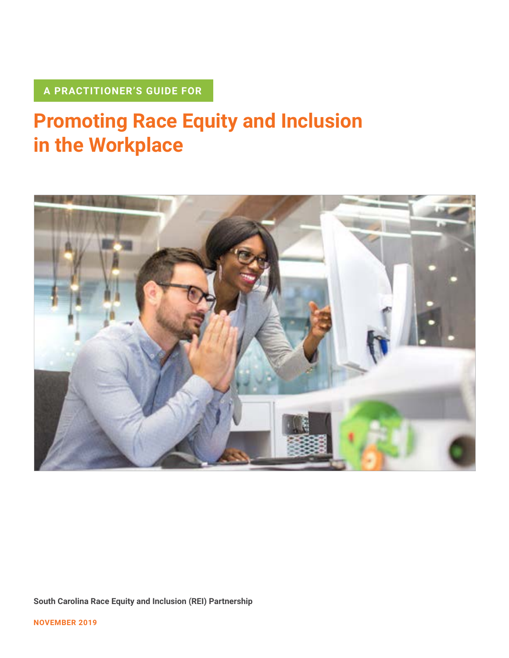# **A PRACTITIONER'S GUIDE FOR**

# **Promoting Race Equity and Inclusion in the Workplace**



**South Carolina Race Equity and Inclusion (REI) Partnership**

**NOVEMBER 2019**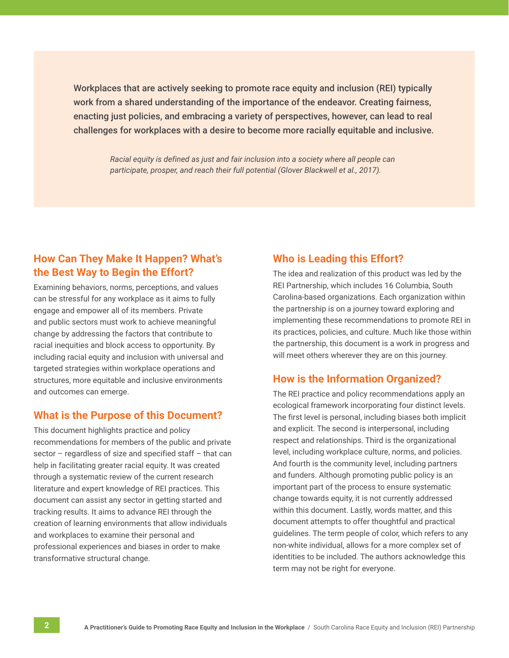Workplaces that are actively seeking to promote race equity and inclusion (REI) typically work from a shared understanding of the importance of the endeavor. Creating fairness, enacting just policies, and embracing a variety of perspectives, however, can lead to real challenges for workplaces with a desire to become more racially equitable and inclusive.

> *Racial equity is defined as just and fair inclusion into a society where all people can participate, prosper, and reach their full potential (Glover Blackwell et al., 2017).*

# **How Can They Make It Happen? What's the Best Way to Begin the Effort?**

Examining behaviors, norms, perceptions, and values can be stressful for any workplace as it aims to fully engage and empower all of its members. Private and public sectors must work to achieve meaningful change by addressing the factors that contribute to racial inequities and block access to opportunity. By including racial equity and inclusion with universal and targeted strategies within workplace operations and structures, more equitable and inclusive environments and outcomes can emerge.

## **What is the Purpose of this Document?**

This document highlights practice and policy recommendations for members of the public and private sector – regardless of size and specified staff – that can help in facilitating greater racial equity. It was created through a systematic review of the current research literature and expert knowledge of REI practices. This document can assist any sector in getting started and tracking results. It aims to advance REI through the creation of learning environments that allow individuals and workplaces to examine their personal and professional experiences and biases in order to make transformative structural change.

# **Who is Leading this Effort?**

The idea and realization of this product was led by the REI Partnership, which includes 16 Columbia, South Carolina-based organizations. Each organization within the partnership is on a journey toward exploring and implementing these recommendations to promote REI in its practices, policies, and culture. Much like those within the partnership, this document is a work in progress and will meet others wherever they are on this journey.

## **How is the Information Organized?**

The REI practice and policy recommendations apply an ecological framework incorporating four distinct levels. The first level is personal, including biases both implicit and explicit. The second is interpersonal, including respect and relationships. Third is the organizational level, including workplace culture, norms, and policies. And fourth is the community level, including partners and funders. Although promoting public policy is an important part of the process to ensure systematic change towards equity, it is not currently addressed within this document. Lastly, words matter, and this document attempts to offer thoughtful and practical guidelines. The term people of color, which refers to any non-white individual, allows for a more complex set of identities to be included. The authors acknowledge this term may not be right for everyone.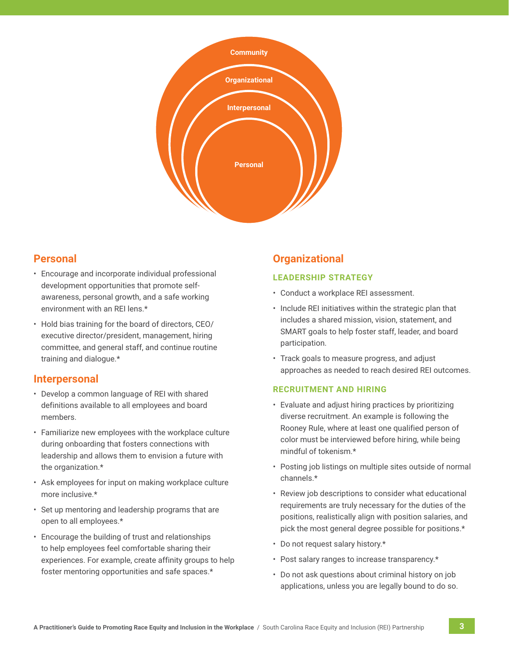

# **Personal**

- Encourage and incorporate individual professional development opportunities that promote selfawareness, personal growth, and a safe working environment with an REI lens.\*
- Hold bias training for the board of directors, CEO/ executive director/president, management, hiring committee, and general staff, and continue routine training and dialogue.\*

# **Interpersonal**

- Develop a common language of REI with shared definitions available to all employees and board members.
- Familiarize new employees with the workplace culture during onboarding that fosters connections with leadership and allows them to envision a future with the organization.\*
- Ask employees for input on making workplace culture more inclusive.\*
- Set up mentoring and leadership programs that are open to all employees.\*
- Encourage the building of trust and relationships to help employees feel comfortable sharing their experiences. For example, create affinity groups to help foster mentoring opportunities and safe spaces.\*

# **Organizational**

#### **LEADERSHIP STRATEGY**

- Conduct a workplace REI assessment.
- Include REI initiatives within the strategic plan that includes a shared mission, vision, statement, and SMART goals to help foster staff, leader, and board participation.
- Track goals to measure progress, and adjust approaches as needed to reach desired REI outcomes.

#### **RECRUITMENT AND HIRING**

- Evaluate and adjust hiring practices by prioritizing diverse recruitment. An example is following the Rooney Rule, where at least one qualified person of color must be interviewed before hiring, while being mindful of tokenism.\*
- Posting job listings on multiple sites outside of normal channels.\*
- Review job descriptions to consider what educational requirements are truly necessary for the duties of the positions, realistically align with position salaries, and pick the most general degree possible for positions.\*
- Do not request salary history.\*
- Post salary ranges to increase transparency.\*
- Do not ask questions about criminal history on job applications, unless you are legally bound to do so.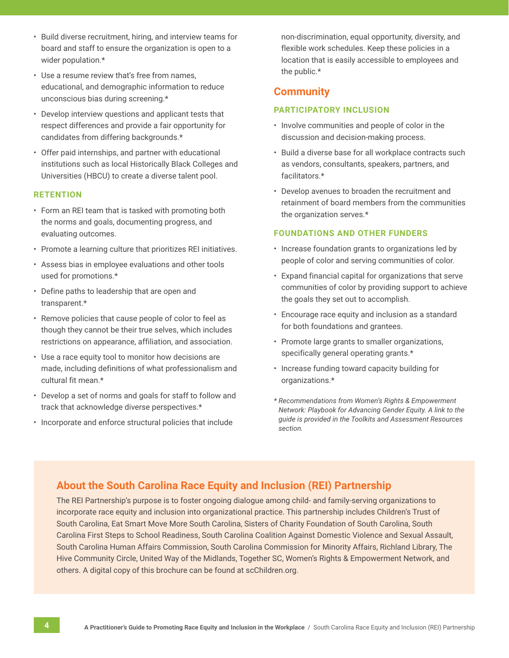- Build diverse recruitment, hiring, and interview teams for board and staff to ensure the organization is open to a wider population.\*
- Use a resume review that's free from names, educational, and demographic information to reduce unconscious bias during screening.\*
- Develop interview questions and applicant tests that respect differences and provide a fair opportunity for candidates from differing backgrounds.\*
- Offer paid internships, and partner with educational institutions such as local Historically Black Colleges and Universities (HBCU) to create a diverse talent pool.

#### **RETENTION**

- Form an REI team that is tasked with promoting both the norms and goals, documenting progress, and evaluating outcomes.
- Promote a learning culture that prioritizes REI initiatives.
- Assess bias in employee evaluations and other tools used for promotions.\*
- Define paths to leadership that are open and transparent.\*
- Remove policies that cause people of color to feel as though they cannot be their true selves, which includes restrictions on appearance, affiliation, and association.
- Use a race equity tool to monitor how decisions are made, including definitions of what professionalism and cultural fit mean.\*
- Develop a set of norms and goals for staff to follow and track that acknowledge diverse perspectives.\*
- Incorporate and enforce structural policies that include

non-discrimination, equal opportunity, diversity, and flexible work schedules. Keep these policies in a location that is easily accessible to employees and the public.\*

## **Community**

#### **PARTICIPATORY INCLUSION**

- Involve communities and people of color in the discussion and decision-making process.
- Build a diverse base for all workplace contracts such as vendors, consultants, speakers, partners, and facilitators.\*
- Develop avenues to broaden the recruitment and retainment of board members from the communities the organization serves.\*

#### **FOUNDATIONS AND OTHER FUNDERS**

- Increase foundation grants to organizations led by people of color and serving communities of color.
- Expand financial capital for organizations that serve communities of color by providing support to achieve the goals they set out to accomplish.
- Encourage race equity and inclusion as a standard for both foundations and grantees.
- Promote large grants to smaller organizations, specifically general operating grants.\*
- Increase funding toward capacity building for organizations.\*
- *\* Recommendations from Women's Rights & Empowerment Network: Playbook for Advancing Gender Equity. A link to the guide is provided in the Toolkits and Assessment Resources section.*

# **About the South Carolina Race Equity and Inclusion (REI) Partnership**

The REI Partnership's purpose is to foster ongoing dialogue among child- and family-serving organizations to incorporate race equity and inclusion into organizational practice. This partnership includes Children's Trust of South Carolina, Eat Smart Move More South Carolina, Sisters of Charity Foundation of South Carolina, South Carolina First Steps to School Readiness, South Carolina Coalition Against Domestic Violence and Sexual Assault, South Carolina Human Affairs Commission, South Carolina Commission for Minority Affairs, Richland Library, The Hive Community Circle, United Way of the Midlands, Together SC, Women's Rights & Empowerment Network, and others. A digital copy of this brochure can be found at [scChildren.org.](http://scChildren.org)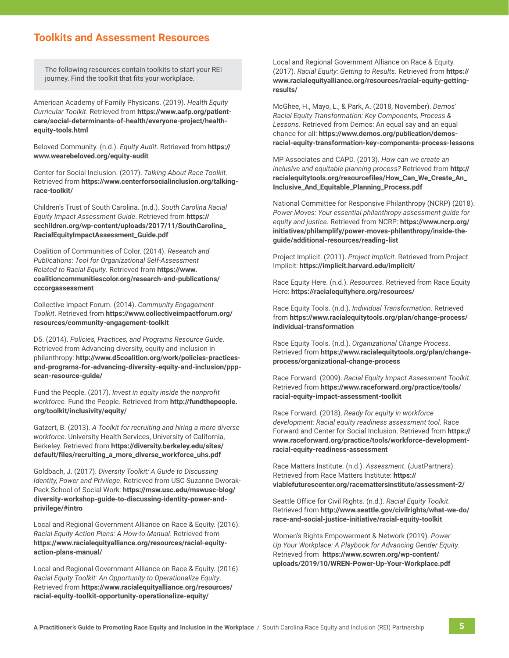# **Toolkits and Assessment Resources**

The following resources contain toolkits to start your REI journey. Find the toolkit that fits your workplace.

American Academy of Family Physicans. (2019). *Health Equity Curricular Toolkit*. Retrieved from **[https://www.aafp.org/patient](https://www.aafp.org/patient-care/social-determinants-of-health/everyone-project/health-equity-tools.html)[care/social-determinants-of-health/everyone-project/health](https://www.aafp.org/patient-care/social-determinants-of-health/everyone-project/health-equity-tools.html)[equity-tools.html](https://www.aafp.org/patient-care/social-determinants-of-health/everyone-project/health-equity-tools.html)**

Beloved Community. (n.d.). *Equity Audit*. Retrieved from **[https://](https://www.wearebeloved.org/equity-audit) [www.wearebeloved.org/equity-audit](https://www.wearebeloved.org/equity-audit)**

Center for Social Inclusion. (2017). *Talking About Race Toolkit.* Retrieved from **[https://www.centerforsocialinclusion.org/talking](https://www.centerforsocialinclusion.org/talking-race-toolkit/)[race-toolkit/](https://www.centerforsocialinclusion.org/talking-race-toolkit/)**

Children's Trust of South Carolina. (n.d.). *South Carolina Racial Equity Impact Assessment Guide*. Retrieved from **[https://](https://scchildren.org/wp-content/uploads/2017/11/SouthCarolina_RacialEquityImpactAssessment_Guide.pdf) [scchildren.org/wp-content/uploads/2017/11/SouthCarolina\\_](https://scchildren.org/wp-content/uploads/2017/11/SouthCarolina_RacialEquityImpactAssessment_Guide.pdf) [RacialEquityImpactAssessment\\_Guide.pdf](https://scchildren.org/wp-content/uploads/2017/11/SouthCarolina_RacialEquityImpactAssessment_Guide.pdf)**

Coalition of Communities of Color. (2014). *Research and Publications: Tool for Organizational Self-Assessment Related to Racial Equity*. Retrieved from **[https://www.](https://www.coalitioncommunitiescolor.org/research-and-publications/cccorgassessment) [coalitioncommunitiescolor.org/research-and-publications/](https://www.coalitioncommunitiescolor.org/research-and-publications/cccorgassessment) [cccorgassessment](https://www.coalitioncommunitiescolor.org/research-and-publications/cccorgassessment)**

Collective Impact Forum. (2014). *Community Engagement Toolkit*. Retrieved from **[https://www.collectiveimpactforum.org/](https://www.collectiveimpactforum.org/resources/community-engagement-toolkit) [resources/community-engagement-toolkit](https://www.collectiveimpactforum.org/resources/community-engagement-toolkit)**

D5. (2014). *Policies, Practices, and Programs Resource Guide*. Retrieved from Advancing diversity, equity and inclusion in philanthropy: **[http://www.d5coalition.org/work/policies-practices](http://www.d5coalition.org/work/policies-practices-and-programs-for-advancing-diversity-equity-and-inclusion/ppp-scan-resource-guide/)[and-programs-for-advancing-diversity-equity-and-inclusion/ppp](http://www.d5coalition.org/work/policies-practices-and-programs-for-advancing-diversity-equity-and-inclusion/ppp-scan-resource-guide/)[scan-resource-guide/](http://www.d5coalition.org/work/policies-practices-and-programs-for-advancing-diversity-equity-and-inclusion/ppp-scan-resource-guide/)**

Fund the People. (2017). *Invest in equity inside the nonprofit workforce.* Fund the People. Retrieved from **[http://fundthepeople.]( http://fundthepeople.org/toolkit/inclusivity/equity/) [org/toolkit/inclusivity/equity/]( http://fundthepeople.org/toolkit/inclusivity/equity/)**

Gatzert, B. (2013). *A Toolkit for recruiting and hiring a more diverse workforce*. University Health Services, University of California, Berkeley. Retrieved from **[https://diversity.berkeley.edu/sites/](https://diversity.berkeley.edu/sites/default/files/recruiting_a_more_diverse_workforce_uhs.pdf) [default/files/recruiting\\_a\\_more\\_diverse\\_workforce\\_uhs.pdf](https://diversity.berkeley.edu/sites/default/files/recruiting_a_more_diverse_workforce_uhs.pdf)**

Goldbach, J. (2017). *Diversity Toolkit: A Guide to Discussing Identity, Power and Privilege*. Retrieved from USC Suzanne Dworak-Peck School of Social Work: **[https://msw.usc.edu/mswusc-blog/](https://msw.usc.edu/mswusc-blog/diversity-workshop-guide-to-discussing-identity-power-and-privilege/#intro) [diversity-workshop-guide-to-discussing-identity-power-and](https://msw.usc.edu/mswusc-blog/diversity-workshop-guide-to-discussing-identity-power-and-privilege/#intro)[privilege/#intro](https://msw.usc.edu/mswusc-blog/diversity-workshop-guide-to-discussing-identity-power-and-privilege/#intro)**

Local and Regional Government Alliance on Race & Equity. (2016). *Racial Equity Action Plans: A How-to Manual*. Retrieved from **[https://www.racialequityalliance.org/resources/racial-equity](https://www.racialequityalliance.org/resources/racial-equity-action-plans-manual/)[action-plans-manual/](https://www.racialequityalliance.org/resources/racial-equity-action-plans-manual/)**

Local and Regional Government Alliance on Race & Equity. (2016). *Racial Equity Toolkit: An Opportunity to Operationalize Equity*. Retrieved from **[https://www.racialequityalliance.org/resources/](https://www.racialequityalliance.org/resources/racial-equity-toolkit-opportunity-operationalize-equity/) [racial-equity-toolkit-opportunity-operationalize-equity/](https://www.racialequityalliance.org/resources/racial-equity-toolkit-opportunity-operationalize-equity/)**

Local and Regional Government Alliance on Race & Equity. (2017). *Racial Equity: Getting to Results*. Retrieved from **[https://](https://www.racialequityalliance.org/resources/racial-equity-getting-results/) [www.racialequityalliance.org/resources/racial-equity-getting](https://www.racialequityalliance.org/resources/racial-equity-getting-results/)[results/](https://www.racialequityalliance.org/resources/racial-equity-getting-results/)**

McGhee, H., Mayo, L., & Park, A. (2018, November). *Demos' Racial Equity Transformation: Key Components, Process & Lessons*. Retrieved from Demos: An equal say and an equal chance for all: **[https://www.demos.org/publication/demos](https://www.demos.org/publication/demos-racial-equity-transformation-key-components-process-lessons)[racial-equity-transformation-key-components-process-lessons](https://www.demos.org/publication/demos-racial-equity-transformation-key-components-process-lessons)**

MP Associates and CAPD. (2013). *How can we create an inclusive and equitable planning process?* Retrieved from **[http://](http://racialequitytools.org/resourcefiles/How_Can_We_Create_An_Inclusive_And_Equitable_Planning_Process.pdf) [racialequitytools.org/resourcefiles/How\\_Can\\_We\\_Create\\_An\\_](http://racialequitytools.org/resourcefiles/How_Can_We_Create_An_Inclusive_And_Equitable_Planning_Process.pdf) [Inclusive\\_And\\_Equitable\\_Planning\\_Process.pdf](http://racialequitytools.org/resourcefiles/How_Can_We_Create_An_Inclusive_And_Equitable_Planning_Process.pdf)**

National Committee for Responsive Philanthropy (NCRP) (2018). *Power Moves: Your essential philanthropy assessment guide for equity and justice.* Retrieved from NCRP: **[https://www.ncrp.org/](https://www.ncrp.org/initiatives/philamplify/power-moves-philanthropy/inside-the-guide/additional-resources/reading-list) [initiatives/philamplify/power-moves-philanthropy/inside-the](https://www.ncrp.org/initiatives/philamplify/power-moves-philanthropy/inside-the-guide/additional-resources/reading-list)[guide/additional-resources/reading-list](https://www.ncrp.org/initiatives/philamplify/power-moves-philanthropy/inside-the-guide/additional-resources/reading-list)**

Project Implicit. (2011). *Project Implicit*. Retrieved from Project Implicit: **<https://implicit.harvard.edu/implicit/>**

Race Equity Here. (n.d.). *Resources*. Retrieved from Race Equity Here: **<https://racialequityhere.org/resources/>**

Race Equity Tools. (n.d.). *Individual Transformation*. Retrieved from **[https://www.racialequitytools.org/plan/change-process/](https://www.racialequitytools.org/plan/change-process/individual-transformation) [individual-transformation](https://www.racialequitytools.org/plan/change-process/individual-transformation)**

Race Equity Tools. (n.d.). *Organizational Change Process*. Retrieved from **[https://www.racialequitytools.org/plan/change](https://www.racialequitytools.org/plan/change-process/organizational-change-process)[process/organizational-change-process](https://www.racialequitytools.org/plan/change-process/organizational-change-process)**

Race Forward. (2009). *Racial Equity Impact Assessment Toolkit*. Retrieved from **[https://www.raceforward.org/practice/tools/](https://www.raceforward.org/practice/tools/racial-equity-impact-assessment-toolkit) [racial-equity-impact-assessment-toolkit](https://www.raceforward.org/practice/tools/racial-equity-impact-assessment-toolkit)**

Race Forward. (2018). *Ready for equity in workforce development: Racial equity readiness assessment tool*. Race Forward and Center for Social Inclusion. Retrieved from **[https://](https://www.raceforward.org/practice/tools/workforce-development-racial-equity-readiness-assessment) [www.raceforward.org/practice/tools/workforce-development](https://www.raceforward.org/practice/tools/workforce-development-racial-equity-readiness-assessment)[racial-equity-readiness-assessment](https://www.raceforward.org/practice/tools/workforce-development-racial-equity-readiness-assessment)**

Race Matters Institute. (n.d.). *Assessment*. (JustPartners). Retrieved from Race Matters Institute: **[https://](https://viablefuturescenter.org/racemattersinstitute/assessment-2/) [viablefuturescenter.org/racemattersinstitute/assessment-2/](https://viablefuturescenter.org/racemattersinstitute/assessment-2/)**

Seattle Office for Civil Rights. (n.d.). *Racial Equity Toolkit*. Retrieved from **[http://www.seattle.gov/civilrights/what-we-do/](http://www.seattle.gov/civilrights/what-we-do/race-and-social-justice-initiative/racial-equity-toolkit) [race-and-social-justice-initiative/racial-equity-toolkit](http://www.seattle.gov/civilrights/what-we-do/race-and-social-justice-initiative/racial-equity-toolkit)**

Women's Rights Empowerment & Network (2019). *Power Up Your Workplace: A Playbook for Advancing Gender Equity*. Retrieved from **[https://www.scwren.org/wp-content/](https://www.scwren.org/wp-content/uploads/2019/10/WREN-Power-Up-Your-Workplace.pdf) [uploads/2019/10/WREN-Power-Up-Your-Workplace.pdf](https://www.scwren.org/wp-content/uploads/2019/10/WREN-Power-Up-Your-Workplace.pdf)**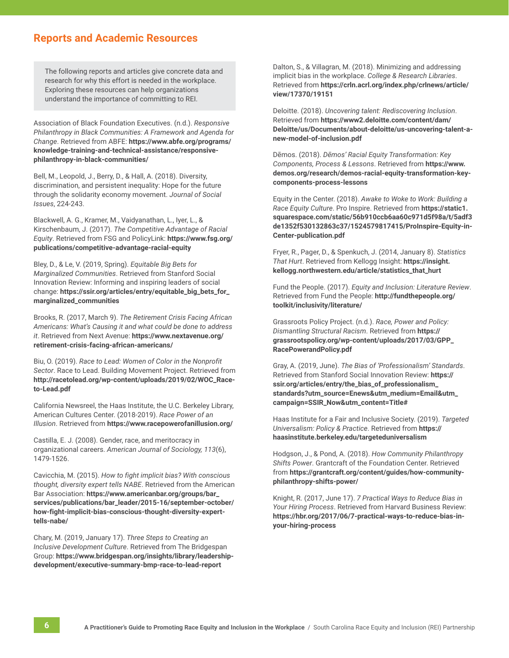# **Reports and Academic Resources**

The following reports and articles give concrete data and research for why this effort is needed in the workplace. Exploring these resources can help organizations understand the importance of committing to REI.

Association of Black Foundation Executives. (n.d.). *Responsive Philanthropy in Black Communities: A Framework and Agenda for Change*. Retrieved from ABFE: **[https://www.abfe.org/programs/](https://www.abfe.org/programs/knowledge-training-and-technical-assistance/responsive-philanthropy-in-black-communities/) [knowledge-training-and-technical-assistance/responsive](https://www.abfe.org/programs/knowledge-training-and-technical-assistance/responsive-philanthropy-in-black-communities/)[philanthropy-in-black-communities/](https://www.abfe.org/programs/knowledge-training-and-technical-assistance/responsive-philanthropy-in-black-communities/)**

Bell, M., Leopold, J., Berry, D., & Hall, A. (2018). Diversity, discrimination, and persistent inequality: Hope for the future through the solidarity economy movement. *Journal of Social Issues*, 224-243.

Blackwell, A. G., Kramer, M., Vaidyanathan, L., Iyer, L., & Kirschenbaum, J. (2017). *The Competitive Advantage of Racial Equity*. Retrieved from FSG and PolicyLink: **[https://www.fsg.org/](https://www.fsg.org/publications/competitive-advantage-racial-equity) [publications/competitive-advantage-racial-equity](https://www.fsg.org/publications/competitive-advantage-racial-equity)**

Bley, D., & Le, V. (2019, Spring). *Equitable Big Bets for Marginalized Communities*. Retrieved from Stanford Social Innovation Review: Informing and inspiring leaders of social change: **[https://ssir.org/articles/entry/equitable\\_big\\_bets\\_for\\_](https://ssir.org/articles/entry/equitable_big_bets_for_marginalized_communities) [marginalized\\_communities](https://ssir.org/articles/entry/equitable_big_bets_for_marginalized_communities)**

Brooks, R. (2017, March 9). *The Retirement Crisis Facing African Americans: What's Causing it and what could be done to address it*. Retrieved from Next Avenue: **[https://www.nextavenue.org/](https://www.nextavenue.org/retirement-crisis-facing-african-americans/) [retirement-crisis-facing-african-americans/](https://www.nextavenue.org/retirement-crisis-facing-african-americans/)**

Biu, O. (2019). *Race to Lead: Women of Color in the Nonprofit Sector*. Race to Lead. Building Movement Project. Retrieved from **[http://racetolead.org/wp-content/uploads/2019/02/WOC\\_Race](http://racetolead.org/wp-content/uploads/2019/02/WOC_Race-to-Lead.pdf)[to-Lead.pdf](http://racetolead.org/wp-content/uploads/2019/02/WOC_Race-to-Lead.pdf)**

California Newsreel, the Haas Institute, the U.C. Berkeley Library, American Cultures Center. (2018-2019). *Race Power of an Illusion*. Retrieved from **<https://www.racepowerofanillusion.org/>**

Castilla, E. J. (2008). Gender, race, and meritocracy in organizational careers. *American Journal of Sociology, 113*(6), 1479-1526.

Cavicchia, M. (2015). *How to fight implicit bias? With conscious thought, diversity expert tells NABE*. Retrieved from the American Bar Association: **[https://www.americanbar.org/groups/bar\\_](https://www.americanbar.org/groups/bar_services/publications/bar_leader/2015-16/september-october/how-fight-implicit-bias-conscious-thought-diversity-expert-tells-nabe/) [services/publications/bar\\_leader/2015-16/september-october/](https://www.americanbar.org/groups/bar_services/publications/bar_leader/2015-16/september-october/how-fight-implicit-bias-conscious-thought-diversity-expert-tells-nabe/) [how-fight-implicit-bias-conscious-thought-diversity-expert](https://www.americanbar.org/groups/bar_services/publications/bar_leader/2015-16/september-october/how-fight-implicit-bias-conscious-thought-diversity-expert-tells-nabe/)[tells-nabe/](https://www.americanbar.org/groups/bar_services/publications/bar_leader/2015-16/september-october/how-fight-implicit-bias-conscious-thought-diversity-expert-tells-nabe/)**

Chary, M. (2019, January 17). *Three Steps to Creating an Inclusive Development Culture*. Retrieved from The Bridgespan Group: **[https://www.bridgespan.org/insights/library/leadership](https://www.bridgespan.org/insights/library/leadership-development/executive-summary-bmp-race-to-lead-report)[development/executive-summary-bmp-race-to-lead-report](https://www.bridgespan.org/insights/library/leadership-development/executive-summary-bmp-race-to-lead-report)**

Dalton, S., & Villagran, M. (2018). Minimizing and addressing implicit bias in the workplace. *College & Research Libraries*. Retrieved from **[https://crln.acrl.org/index.php/crlnews/article/](https://crln.acrl.org/index.php/crlnews/article/view/17370/19151) [view/17370/19151](https://crln.acrl.org/index.php/crlnews/article/view/17370/19151)**

Deloitte. (2018). *Uncovering talent: Rediscovering Inclusion*. Retrieved from **[https://www2.deloitte.com/content/dam/](https://www2.deloitte.com/content/dam/Deloitte/us/Documents/about-deloitte/us-uncovering-talent-a-new-model-of-inclusion.pdf) [Deloitte/us/Documents/about-deloitte/us-uncovering-talent-a](https://www2.deloitte.com/content/dam/Deloitte/us/Documents/about-deloitte/us-uncovering-talent-a-new-model-of-inclusion.pdf)[new-model-of-inclusion.pdf](https://www2.deloitte.com/content/dam/Deloitte/us/Documents/about-deloitte/us-uncovering-talent-a-new-model-of-inclusion.pdf)**

Dēmos. (2018). *Dēmos' Racial Equity Transformation: Key Components, Process & Lessons*. Retrieved from **[https://www.](https://www.demos.org/research/demos-racial-equity-transformation-key-components-process-lessons) [demos.org/research/demos-racial-equity-transformation-key](https://www.demos.org/research/demos-racial-equity-transformation-key-components-process-lessons)[components-process-lessons](https://www.demos.org/research/demos-racial-equity-transformation-key-components-process-lessons)**

Equity in the Center. (2018). *Awake to Woke to Work: Building a Race Equity Culture*. Pro Inspire. Retrieved from **[https://static1.](https://static1.squarespace.com/static/56b910ccb6aa60c971d5f98a/t/5adf3de1352f530132863c37/1524579817415/ProInspire-Equity-in-Center-publication.pdf) [squarespace.com/static/56b910ccb6aa60c971d5f98a/t/5adf3](https://static1.squarespace.com/static/56b910ccb6aa60c971d5f98a/t/5adf3de1352f530132863c37/1524579817415/ProInspire-Equity-in-Center-publication.pdf) [de1352f530132863c37/1524579817415/ProInspire-Equity-in-](https://static1.squarespace.com/static/56b910ccb6aa60c971d5f98a/t/5adf3de1352f530132863c37/1524579817415/ProInspire-Equity-in-Center-publication.pdf)[Center-publication.pdf](https://static1.squarespace.com/static/56b910ccb6aa60c971d5f98a/t/5adf3de1352f530132863c37/1524579817415/ProInspire-Equity-in-Center-publication.pdf)**

Fryer, R., Pager, D., & Spenkuch, J. (2014, January 8). *Statistics That Hurt*. Retrieved from Kellogg Insight: **[https://insight.](https://insight.kellogg.northwestern.edu/article/statistics_that_hurt) [kellogg.northwestern.edu/article/statistics\\_that\\_hurt](https://insight.kellogg.northwestern.edu/article/statistics_that_hurt)**

Fund the People. (2017). *Equity and Inclusion: Literature Review*. Retrieved from Fund the People: **[http://fundthepeople.org/](http://fundthepeople.org/toolkit/inclusivity/literature/) [toolkit/inclusivity/literature/](http://fundthepeople.org/toolkit/inclusivity/literature/)**

Grassroots Policy Project. (n.d.). *Race, Power and Policy: Dismantling Structural Racism*. Retrieved from **[https://](https://grassrootspolicy.org/wp-content/uploads/2017/03/GPP_RacePowerandPolicy.pdf) [grassrootspolicy.org/wp-content/uploads/2017/03/GPP\\_](https://grassrootspolicy.org/wp-content/uploads/2017/03/GPP_RacePowerandPolicy.pdf) [RacePowerandPolicy.pdf](https://grassrootspolicy.org/wp-content/uploads/2017/03/GPP_RacePowerandPolicy.pdf)**

Gray, A. (2019, June). *The Bias of 'Professionalism' Standards*. Retrieved from Stanford Social Innovation Review: **[https://](https://ssir.org/articles/entry/the_bias_of_professionalism_standards?utm_source=Enews&utm_medium=Email&utm_campaign=SSIR_Now&utm_content=Title#) [ssir.org/articles/entry/the\\_bias\\_of\\_professionalism\\_](https://ssir.org/articles/entry/the_bias_of_professionalism_standards?utm_source=Enews&utm_medium=Email&utm_campaign=SSIR_Now&utm_content=Title#) [standards?utm\\_source=Enews&utm\\_medium=Email&utm\\_](https://ssir.org/articles/entry/the_bias_of_professionalism_standards?utm_source=Enews&utm_medium=Email&utm_campaign=SSIR_Now&utm_content=Title#) [campaign=SSIR\\_Now&utm\\_content=Title#](https://ssir.org/articles/entry/the_bias_of_professionalism_standards?utm_source=Enews&utm_medium=Email&utm_campaign=SSIR_Now&utm_content=Title#)**

Haas Institute for a Fair and Inclusive Society. (2019). *Targeted Universalism: Policy & Practice*. Retrieved from **[https://](https://haasinstitute.berkeley.edu/targeteduniversalism) [haasinstitute.berkeley.edu/targeteduniversalism](https://haasinstitute.berkeley.edu/targeteduniversalism)**

Hodgson, J., & Pond, A. (2018). *How Community Philanthropy Shifts Power*. Grantcraft of the Foundation Center. Retrieved from **[https://grantcraft.org/content/guides/how-community](https://grantcraft.org/content/guides/how-community-philanthropy-shifts-power/)[philanthropy-shifts-power/](https://grantcraft.org/content/guides/how-community-philanthropy-shifts-power/)**

Knight, R. (2017, June 17). *7 Practical Ways to Reduce Bias in Your Hiring Process*. Retrieved from Harvard Business Review: **[https://hbr.org/2017/06/7-practical-ways-to-reduce-bias-in](https://hbr.org/2017/06/7-practical-ways-to-reduce-bias-in-your-hiring-process)[your-hiring-process](https://hbr.org/2017/06/7-practical-ways-to-reduce-bias-in-your-hiring-process)**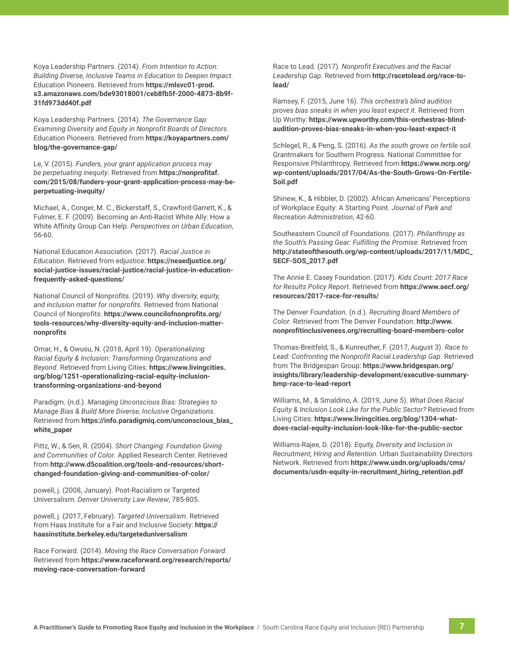Koya Leadership Partners. (2014). *From Intention to Action: Building Diverse, Inclusive Teams in Education to Deepen Impact*. Education Pioneers. Retrieved from **[https://mlsvc01-prod.](https://mlsvc01-prod.s3.amazonaws.com/bde93018001/ceb8fb5f-2000-4873-8b9f-31fd973dd40f.pdf) [s3.amazonaws.com/bde93018001/ceb8fb5f-2000-4873-8b9f-](https://mlsvc01-prod.s3.amazonaws.com/bde93018001/ceb8fb5f-2000-4873-8b9f-31fd973dd40f.pdf)[31fd973dd40f.pdf](https://mlsvc01-prod.s3.amazonaws.com/bde93018001/ceb8fb5f-2000-4873-8b9f-31fd973dd40f.pdf)**

Koya Leadership Partners. (2014). *The Governance Gap: Examining Diversity and Equity in Nonprofit Boards of Directors*. Education Pioneers. Retrieved from **[https://koyapartners.com/](https://koyapartners.com/blog/the-governance-gap/) [blog/the-governance-gap/](https://koyapartners.com/blog/the-governance-gap/)**

Le, V. (2015). *Funders, your grant application process may be perpetuating inequity*. Retrieved from **[https://nonprofitaf.](https://nonprofitaf.com/2015/08/funders-your-grant-application-process-may-be-perpetuating-inequity/) [com/2015/08/funders-your-grant-application-process-may-be](https://nonprofitaf.com/2015/08/funders-your-grant-application-process-may-be-perpetuating-inequity/)[perpetuating-inequity/](https://nonprofitaf.com/2015/08/funders-your-grant-application-process-may-be-perpetuating-inequity/)**

Michael, A., Conger, M. C., Bickerstaff, S., Crawford-Garrett, K., & Fulmer, E. F. (2009). Becoming an Anti-Racist White Ally: How a White Affinity Group Can Help. *Perspectives on Urban Education*, 56-60.

National Education Association. (2017). *Racial Justice in Education*. Retrieved from edjustice: **[https://neaedjustice.org/](https://neaedjustice.org/social-justice-issues/racial-justice/racial-justice-in-education-frequently-asked-questions/) [social-justice-issues/racial-justice/racial-justice-in-education](https://neaedjustice.org/social-justice-issues/racial-justice/racial-justice-in-education-frequently-asked-questions/)[frequently-asked-questions/](https://neaedjustice.org/social-justice-issues/racial-justice/racial-justice-in-education-frequently-asked-questions/)**

National Council of Nonprofits. (2019). *Why diversity, equity, and inclusion matter for nonprofits*. Retrieved from National Council of Nonprofits: **[https://www.councilofnonprofits.org/](https://www.councilofnonprofits.org/tools-resources/why-diversity-equity-and-inclusion-matter-nonprofits) [tools-resources/why-diversity-equity-and-inclusion-matter](https://www.councilofnonprofits.org/tools-resources/why-diversity-equity-and-inclusion-matter-nonprofits)[nonprofits](https://www.councilofnonprofits.org/tools-resources/why-diversity-equity-and-inclusion-matter-nonprofits)**

Omar, H., & Owusu, N. (2018, April 19). *Operationalizing Racial Equity & Inclusion: Transforming Organizations and Beyond*. Retrieved from Living Cities: **[https://www.livingcities.](https://www.livingcities.org/blog/1251-operationalizing-racial-equity-inclusion-transforming-organizations-and-beyond) [org/blog/1251-operationalizing-racial-equity-inclusion](https://www.livingcities.org/blog/1251-operationalizing-racial-equity-inclusion-transforming-organizations-and-beyond)[transforming-organizations-and-beyond](https://www.livingcities.org/blog/1251-operationalizing-racial-equity-inclusion-transforming-organizations-and-beyond)**

Paradigm. (n.d.). *Managing Unconscious Bias: Strategies to Manage Bias & Build More Diverse, Inclusive Organizations*. Retrieved from **[https://info.paradigmiq.com/unconscious\\_bias\\_](https://info.paradigmiq.com/unconscious_bias_white_paper) [white\\_paper](https://info.paradigmiq.com/unconscious_bias_white_paper)**

Pittz, W., & Sen, R. (2004). *Short Changing: Foundation Giving and Communities of Color*. Applied Research Center. Retrieved from **[http://www.d5coalition.org/tools-and-resources/short](http://www.d5coalition.org/tools-and-resources/short-changed-foundation-giving-and-communities-of-color/)[changed-foundation-giving-and-communities-of-color/](http://www.d5coalition.org/tools-and-resources/short-changed-foundation-giving-and-communities-of-color/)**

powell, j. (2008, January). Post-Racialism or Targeted Universalism. *Denver University Law Review*, 785-805.

powell, j. (2017, February). *Targeted Universalism*. Retrieved from Haas Institute for a Fair and Inclusive Society: **[https://](https://haasinstitute.berkeley.edu/targeteduniversalism) [haasinstitute.berkeley.edu/targeteduniversalism](https://haasinstitute.berkeley.edu/targeteduniversalism)**

Race Forward. (2014). *Moving the Race Conversation Forward*. Retrieved from **[https://www.raceforward.org/research/reports/](https://www.raceforward.org/research/reports/moving-race-conversation-forward) [moving-race-conversation-forward](https://www.raceforward.org/research/reports/moving-race-conversation-forward)**

Race to Lead. (2017). *Nonprofit Executives and the Racial Leadership Gap*. Retrieved from **[http://racetolead.org/race-to](http://racetolead.org/race-to-lead/)[lead/](http://racetolead.org/race-to-lead/)**

Ramsey, F. (2015, June 16). *This orchestra's blind audition proves bias sneaks in when you least expect it*. Retrieved from Up Worthy: **[https://www.upworthy.com/this-orchestras-blind](https://www.upworthy.com/this-orchestras-blind-audition-proves-bias-sneaks-in-when-you-least-expect-it)[audition-proves-bias-sneaks-in-when-you-least-expect-it](https://www.upworthy.com/this-orchestras-blind-audition-proves-bias-sneaks-in-when-you-least-expect-it)**

Schlegel, R., & Peng, S. (2016). *As the south grows on fertile soil*. Grantmakers for Southern Progress. National Committee for Responsive Philanthropy. Retrieved from **[https://www.ncrp.org/](https://www.ncrp.org/wp-content/uploads/2017/04/As-the-South-Grows-On-Fertile-Soil.pdf) [wp-content/uploads/2017/04/As-the-South-Grows-On-Fertile-](https://www.ncrp.org/wp-content/uploads/2017/04/As-the-South-Grows-On-Fertile-Soil.pdf)[Soil.pdf](https://www.ncrp.org/wp-content/uploads/2017/04/As-the-South-Grows-On-Fertile-Soil.pdf)**

Shinew, K., & Hibbler, D. (2002). African Americans' Perceptions of Workplace Equity: A Starting Point. *Journal of Park and Recreation Administration*, 42-60.

Southeastern Council of Foundations. (2017). *Philanthropy as the South's Passing Gear: Fulfilling the Promise*. Retrieved from **[http://stateofthesouth.org/wp-content/uploads/2017/11/MDC\\_](http://stateofthesouth.org/wp-content/uploads/2017/11/MDC_SECF-SOS_2017.pdf) [SECF-SOS\\_2017.pdf](http://stateofthesouth.org/wp-content/uploads/2017/11/MDC_SECF-SOS_2017.pdf)**

The Annie E. Casey Foundation. (2017). *Kids Count: 2017 Race for Results Policy Report*. Retrieved from **[https://www.aecf.org/](https://www.aecf.org/resources/2017-race-for-results/) [resources/2017-race-for-results/](https://www.aecf.org/resources/2017-race-for-results/)**

The Denver Foundation. (n.d.). *Recruiting Board Members of Color*. Retrieved from The Denver Foundation: **[http://www.](http://www.nonprofitinclusiveness.org/recruiting-board-members-color) [nonprofitinclusiveness.org/recruiting-board-members-color](http://www.nonprofitinclusiveness.org/recruiting-board-members-color)**

Thomas-Breitfeld, S., & Kunreuther, F. (2017, August 3). *Race to Lead: Confronting the Nonprofit Racial Leadership Gap*. Retrieved from The Bridgespan Group: **[https://www.bridgespan.org/](https://www.bridgespan.org/insights/library/leadership-development/executive-summary-bmp-race-to-lead-report) [insights/library/leadership-development/executive-summary](https://www.bridgespan.org/insights/library/leadership-development/executive-summary-bmp-race-to-lead-report)[bmp-race-to-lead-report](https://www.bridgespan.org/insights/library/leadership-development/executive-summary-bmp-race-to-lead-report)**

Williams, M., & Smaldino, A. (2019, June 5). *What Does Racial Equity & Inclusion Look Like for the Public Sector?* Retrieved from Living Cities: **[https://www.livingcities.org/blog/1304-what](https://www.livingcities.org/blog/1304-what-does-racial-equity-inclusion-look-like-for-the-public-sector)[does-racial-equity-inclusion-look-like-for-the-public-sector](https://www.livingcities.org/blog/1304-what-does-racial-equity-inclusion-look-like-for-the-public-sector)**

Williams-Rajee, D. (2018). *Equity, Diversity and Inclusion in Recruitment, Hiring and Retention*. Urban Sustainability Directors Network. Retrieved from **[https://www.usdn.org/uploads/cms/](https://www.usdn.org/uploads/cms/documents/usdn-equity-in-recruitment_hiring_retention.pdf) [documents/usdn-equity-in-recruitment\\_hiring\\_retention.pdf](https://www.usdn.org/uploads/cms/documents/usdn-equity-in-recruitment_hiring_retention.pdf)**